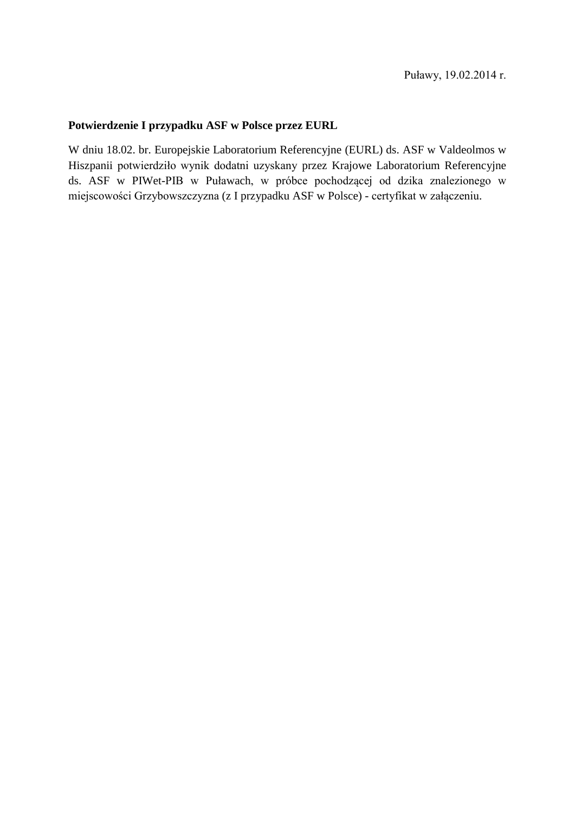### **Potwierdzenie I przypadku ASF w Polsce przez EURL**

W dniu 18.02. br. Europejskie Laboratorium Referencyjne (EURL) ds. ASF w Valdeolmos w Hiszpanii potwierdziło wynik dodatni uzyskany przez Krajowe Laboratorium Referencyjne ds. ASF w PIWet-PIB w Puławach, w próbce pochodzącej od dzika znalezionego w miejscowości Grzybowszczyzna (z I przypadku ASF w Polsce) - certyfikat w załączeniu.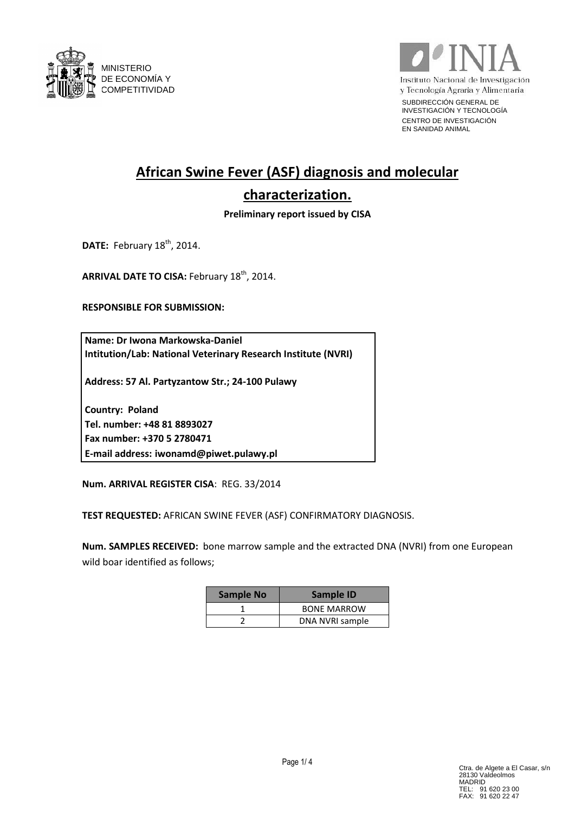



# **African Swine Fever (ASF) diagnosis and molecular characterization.**

**Preliminary report issued by CISA**

**DATE:** February 18<sup>th</sup>, 2014.

ARRIVAL DATE TO CISA: February 18<sup>th</sup>, 2014.

**RESPONSIBLE FOR SUBMISSION:** 

**Name: Dr Iwona Markowska-Daniel Intitution/Lab: National Veterinary Research Institute (NVRI)**

**Address: 57 Al. Partyzantow Str.; 24-100 Pulawy**

**Country: Poland Tel. number: +48 81 8893027 Fax number: +370 5 2780471 E-mail address: iwonamd@piwet.pulawy.pl**

**Num. ARRIVAL REGISTER CISA**: REG. 33/2014

**TEST REQUESTED:** AFRICAN SWINE FEVER (ASF) CONFIRMATORY DIAGNOSIS.

**Num. SAMPLES RECEIVED:** bone marrow sample and the extracted DNA (NVRI) from one European wild boar identified as follows;

| <b>Sample No</b> | <b>Sample ID</b>   |  |  |
|------------------|--------------------|--|--|
|                  | <b>BONE MARROW</b> |  |  |
|                  | DNA NVRI sample    |  |  |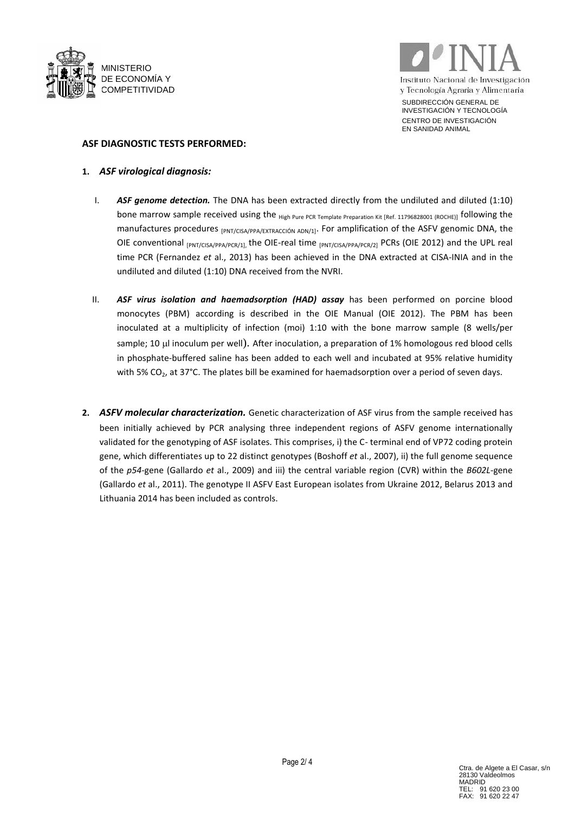



#### **ASF DIAGNOSTIC TESTS PERFORMED:**

- **1.** *ASF virological diagnosis:* 
	- I. *ASF genome detection.* The DNA has been extracted directly from the undiluted and diluted (1:10) bone marrow sample received using the High Pure PCR Template Preparation Kit [Ref. 11796828001 (ROCHE)] following the manufactures procedures [PNT/CISA/PPA/EXTRACCIÓN ADN/1]. For amplification of the ASFV genomic DNA, the OIE conventional [PNT/CISA/PPA/PCR/1], the OIE-real time [PNT/CISA/PPA/PCR/2] PCRS (OIE 2012) and the UPL real time PCR (Fernandez *et* al., 2013) has been achieved in the DNA extracted at CISA-INIA and in the undiluted and diluted (1:10) DNA received from the NVRI.
	- II. *ASF virus isolation and haemadsorption (HAD) assay* has been performed on porcine blood monocytes (PBM) according is described in the OIE Manual (OIE 2012). The PBM has been inoculated at a multiplicity of infection (moi) 1:10 with the bone marrow sample (8 wells/per sample; 10 µl inoculum per well). After inoculation, a preparation of 1% homologous red blood cells in phosphate-buffered saline has been added to each well and incubated at 95% relative humidity with 5%  $CO<sub>2</sub>$ , at 37°C. The plates bill be examined for haemadsorption over a period of seven days.
- **2.** *ASFV molecular characterization.* Genetic characterization of ASF virus from the sample received has been initially achieved by PCR analysing three independent regions of ASFV genome internationally validated for the genotyping of ASF isolates. This comprises, i) the C- terminal end of VP72 coding protein gene, which differentiates up to 22 distinct genotypes (Boshoff *et* al., 2007), ii) the full genome sequence of the *p54*-gene (Gallardo *et* al., 2009) and iii) the central variable region (CVR) within the *B602L*-gene (Gallardo *et* al., 2011). The genotype II ASFV East European isolates from Ukraine 2012, Belarus 2013 and Lithuania 2014 has been included as controls.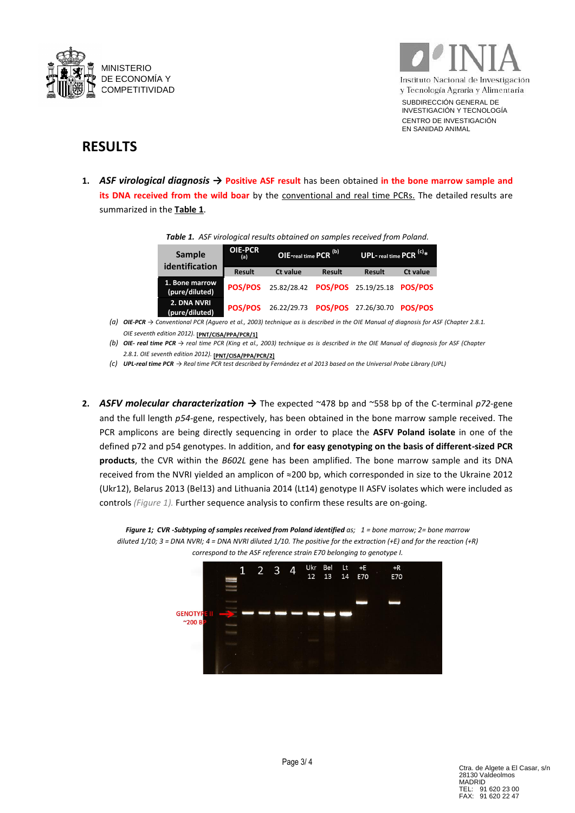



### **RESULTS**

**1.** *ASF virological diagnosis →* **Positive ASF result** has been obtained **in the bone marrow sample and its DNA received from the wild boar** by the conventional and real time PCRs. The detailed results are summarized in the **Table 1**.

| Sample<br>identification         | <b>OIE-PCR</b><br>(a) | OIE-real time PCR <sup>(b)</sup> |               | <b>UPL-</b> real time PCR $(c)$ * |                 |
|----------------------------------|-----------------------|----------------------------------|---------------|-----------------------------------|-----------------|
|                                  | <b>Result</b>         | Ct value                         | <b>Result</b> | <b>Result</b>                     | <b>Ct value</b> |
| 1. Bone marrow<br>(pure/diluted) | <b>POS/POS</b>        | 25.82/28.42                      |               | POS/POS 25.19/25.18 POS/POS       |                 |
| 2. DNA NVRI<br>(pure/diluted)    | <b>POS/POS</b>        | 26.22/29.73                      |               | POS/POS 27.26/30.70 POS/POS       |                 |

- *(a) OIE-PCR → Conventional PCR (Aguero et al., 2003) technique as is described in the OIE Manual of diagnosis for ASF (Chapter 2.8.1. OIE seventh edition 2012).* **[PNT/CISA/PPA/PCR/1]**
- *(b)* OIE- real time PCR → real time PCR (King et al., 2003) technique as is described in the OIE Manual of diagnosis for ASF (Chapter *2.8.1. OIE seventh edition 2012).* **[PNT/CISA/PPA/PCR/2]**
- *(c) UPL-real time PCR → Real time PCR test described by Fernández et al 2013 based on the Universal Probe Library (UPL)*
- **2.** *ASFV molecular characterization →* The expected ~478 bp and ~558 bp of the C-terminal *p72*-gene and the full length *p54-*gene, respectively, has been obtained in the bone marrow sample received. The PCR amplicons are being directly sequencing in order to place the **ASFV Poland isolate** in one of the defined p72 and p54 genotypes. In addition, and **for easy genotyping on the basis of different-sized PCR products**, the CVR within the *B602L* gene has been amplified. The bone marrow sample and its DNA received from the NVRI yielded an amplicon of ≈200 bp, which corresponded in size to the Ukraine 2012 (Ukr12), Belarus 2013 (Bel13) and Lithuania 2014 (Lt14) genotype II ASFV isolates which were included as controls *(Figure 1).* Further sequence analysis to confirm these results are on-going.